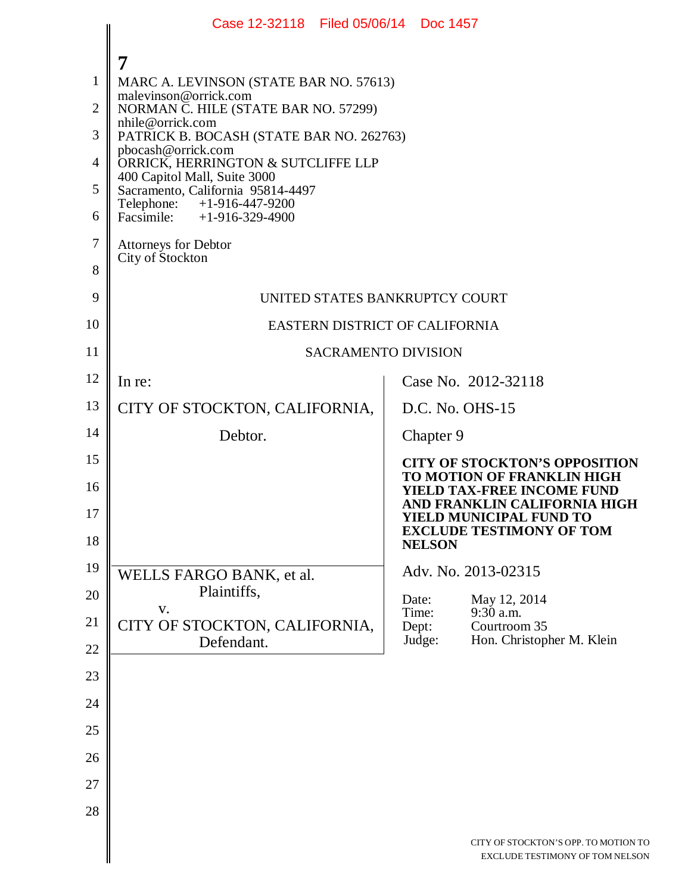|                | Case 12-32118 Filed 05/06/14 Doc 1457                             |                                                                                                        |  |  |  |  |  |  |
|----------------|-------------------------------------------------------------------|--------------------------------------------------------------------------------------------------------|--|--|--|--|--|--|
|                | 7                                                                 |                                                                                                        |  |  |  |  |  |  |
| 1              | MARC A. LEVINSON (STATE BAR NO. 57613)                            |                                                                                                        |  |  |  |  |  |  |
| $\overline{2}$ | malevinson@orrick.com<br>NORMAN C. HILE (STATE BAR NO. 57299)     |                                                                                                        |  |  |  |  |  |  |
| 3              | nhile@orrick.com<br>PATRICK B. BOCASH (STATE BAR NO. 262763)      |                                                                                                        |  |  |  |  |  |  |
| 4              | pbocash@orrick.com<br>ORRICK, HERRINGTON & SUTCLIFFE LLP          |                                                                                                        |  |  |  |  |  |  |
| 5              | 400 Capitol Mall, Suite 3000<br>Sacramento, California 95814-4497 |                                                                                                        |  |  |  |  |  |  |
| 6              | Telephone: +1-916-447-9200<br>Facsimile: +1-916-329-4900          |                                                                                                        |  |  |  |  |  |  |
| $\tau$         | <b>Attorneys for Debtor</b>                                       |                                                                                                        |  |  |  |  |  |  |
| 8              | City of Stockton                                                  |                                                                                                        |  |  |  |  |  |  |
| 9              | UNITED STATES BANKRUPTCY COURT                                    |                                                                                                        |  |  |  |  |  |  |
| 10             | EASTERN DISTRICT OF CALIFORNIA                                    |                                                                                                        |  |  |  |  |  |  |
| 11             | <b>SACRAMENTO DIVISION</b>                                        |                                                                                                        |  |  |  |  |  |  |
| 12             | In re:                                                            | Case No. 2012-32118                                                                                    |  |  |  |  |  |  |
| 13             | CITY OF STOCKTON, CALIFORNIA,                                     | D.C. No. OHS-15                                                                                        |  |  |  |  |  |  |
| 14             | Debtor.                                                           | Chapter 9                                                                                              |  |  |  |  |  |  |
| 15             |                                                                   | <b>CITY OF STOCKTON'S OPPOSITION</b>                                                                   |  |  |  |  |  |  |
| 16             |                                                                   | <b>TO MOTION OF FRANKLIN HIGH</b><br><b>YIELD TAX-FREE INCOME FUND</b><br>AND FRANKLIN CALIFORNIA HIGH |  |  |  |  |  |  |
| 17<br>18       |                                                                   | <b>YIELD MUNICIPAL FUND TO</b><br><b>EXCLUDE TESTIMONY OF TOM</b><br><b>NELSON</b>                     |  |  |  |  |  |  |
| 19             | WELLS FARGO BANK, et al.                                          | Adv. No. 2013-02315                                                                                    |  |  |  |  |  |  |
| 20             | Plaintiffs,                                                       | Date:<br>May 12, 2014                                                                                  |  |  |  |  |  |  |
| 21             | V.<br>CITY OF STOCKTON, CALIFORNIA,                               | Time:<br>9:30 a.m.<br>Courtroom 35<br>Dept:                                                            |  |  |  |  |  |  |
| 22             | Defendant.                                                        | Judge:<br>Hon. Christopher M. Klein                                                                    |  |  |  |  |  |  |
| 23             |                                                                   |                                                                                                        |  |  |  |  |  |  |
| 24             |                                                                   |                                                                                                        |  |  |  |  |  |  |
| 25             |                                                                   |                                                                                                        |  |  |  |  |  |  |
| 26             |                                                                   |                                                                                                        |  |  |  |  |  |  |
| 27             |                                                                   |                                                                                                        |  |  |  |  |  |  |
| 28             |                                                                   |                                                                                                        |  |  |  |  |  |  |
|                |                                                                   | CITY OF STOCKTON'S OPP. TO MOTION TO<br>EXCLUDE TESTIMONY OF TOM NELSON                                |  |  |  |  |  |  |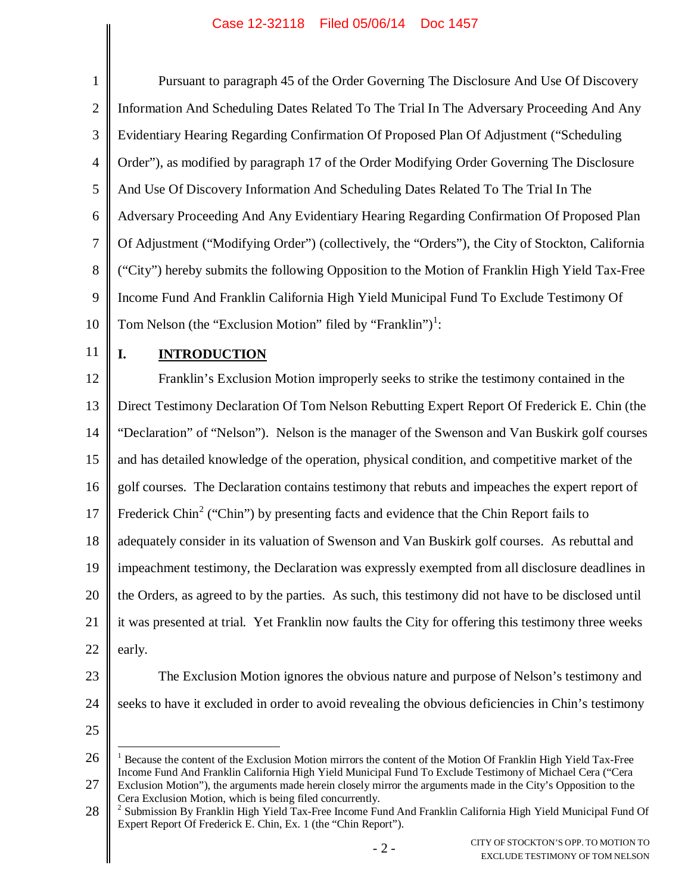## Case 12-32118 Filed 05/06/14 Doc 1457

| $\mathbf{1}$   | Pursuant to paragraph 45 of the Order Governing The Disclosure And Use Of Discovery                                                                                                                                          |  |  |  |  |
|----------------|------------------------------------------------------------------------------------------------------------------------------------------------------------------------------------------------------------------------------|--|--|--|--|
| $\overline{2}$ | Information And Scheduling Dates Related To The Trial In The Adversary Proceeding And Any                                                                                                                                    |  |  |  |  |
| 3              | Evidentiary Hearing Regarding Confirmation Of Proposed Plan Of Adjustment ("Scheduling                                                                                                                                       |  |  |  |  |
| $\overline{4}$ | Order"), as modified by paragraph 17 of the Order Modifying Order Governing The Disclosure                                                                                                                                   |  |  |  |  |
| $\mathfrak{S}$ | And Use Of Discovery Information And Scheduling Dates Related To The Trial In The                                                                                                                                            |  |  |  |  |
| 6              | Adversary Proceeding And Any Evidentiary Hearing Regarding Confirmation Of Proposed Plan                                                                                                                                     |  |  |  |  |
| $\tau$         | Of Adjustment ("Modifying Order") (collectively, the "Orders"), the City of Stockton, California                                                                                                                             |  |  |  |  |
| 8              | ("City") hereby submits the following Opposition to the Motion of Franklin High Yield Tax-Free                                                                                                                               |  |  |  |  |
| 9              | Income Fund And Franklin California High Yield Municipal Fund To Exclude Testimony Of                                                                                                                                        |  |  |  |  |
| 10             | Tom Nelson (the "Exclusion Motion" filed by "Franklin") <sup>1</sup> :                                                                                                                                                       |  |  |  |  |
| 11             | I.<br><b>INTRODUCTION</b>                                                                                                                                                                                                    |  |  |  |  |
| 12             | Franklin's Exclusion Motion improperly seeks to strike the testimony contained in the                                                                                                                                        |  |  |  |  |
| 13             | Direct Testimony Declaration Of Tom Nelson Rebutting Expert Report Of Frederick E. Chin (the                                                                                                                                 |  |  |  |  |
| 14             | "Declaration" of "Nelson"). Nelson is the manager of the Swenson and Van Buskirk golf courses                                                                                                                                |  |  |  |  |
| 15             | and has detailed knowledge of the operation, physical condition, and competitive market of the                                                                                                                               |  |  |  |  |
| 16             | golf courses. The Declaration contains testimony that rebuts and impeaches the expert report of                                                                                                                              |  |  |  |  |
| 17             | Frederick Chin <sup>2</sup> ("Chin") by presenting facts and evidence that the Chin Report fails to                                                                                                                          |  |  |  |  |
| 18             | adequately consider in its valuation of Swenson and Van Buskirk golf courses. As rebuttal and                                                                                                                                |  |  |  |  |
| 19             | impeachment testimony, the Declaration was expressly exempted from all disclosure deadlines in                                                                                                                               |  |  |  |  |
| 20             | the Orders, as agreed to by the parties. As such, this testimony did not have to be disclosed until                                                                                                                          |  |  |  |  |
| 21             | it was presented at trial. Yet Franklin now faults the City for offering this testimony three weeks                                                                                                                          |  |  |  |  |
| 22             | early.                                                                                                                                                                                                                       |  |  |  |  |
| 23             | The Exclusion Motion ignores the obvious nature and purpose of Nelson's testimony and                                                                                                                                        |  |  |  |  |
| 24             | seeks to have it excluded in order to avoid revealing the obvious deficiencies in Chin's testimony                                                                                                                           |  |  |  |  |
| 25             |                                                                                                                                                                                                                              |  |  |  |  |
| 26             | <sup>1</sup> Because the content of the Exclusion Motion mirrors the content of the Motion Of Franklin High Yield Tax-Free                                                                                                   |  |  |  |  |
| 27             | Income Fund And Franklin California High Yield Municipal Fund To Exclude Testimony of Michael Cera ("Cera<br>Exclusion Motion"), the arguments made herein closely mirror the arguments made in the City's Opposition to the |  |  |  |  |

Cera Exclusion Motion, which is being filed concurrently.

<sup>28</sup> <sup>2</sup> Submission By Franklin High Yield Tax-Free Income Fund And Franklin California High Yield Municipal Fund Of Expert Report Of Frederick E. Chin, Ex. 1 (the "Chin Report").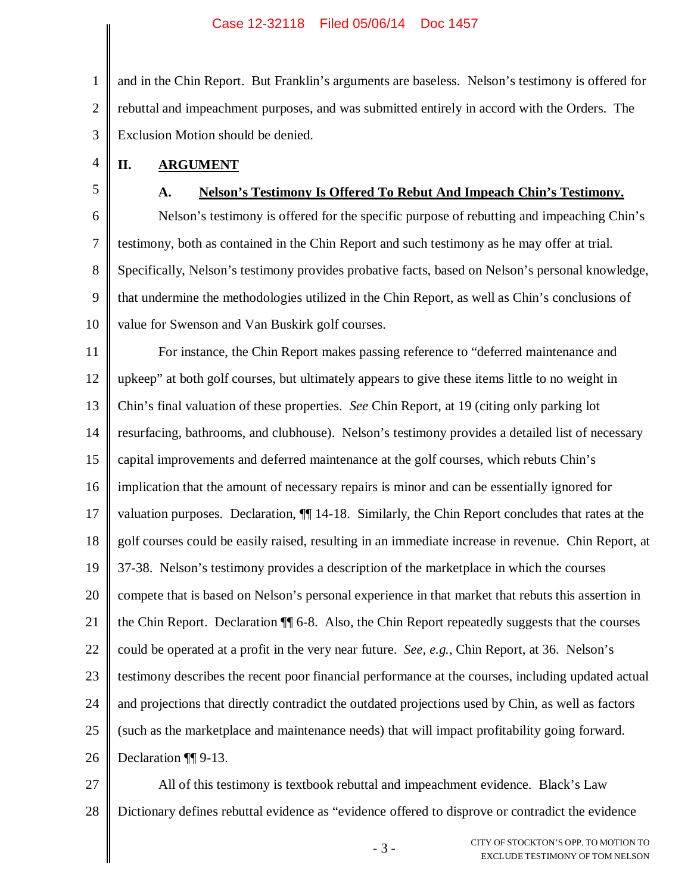#### Case 12-32118 Filed 05/06/14 Doc 1457

1 2 3 and in the Chin Report. But Franklin's arguments are baseless. Nelson's testimony is offered for rebuttal and impeachment purposes, and was submitted entirely in accord with the Orders. The Exclusion Motion should be denied.

- **II. ARGUMENT**
- 5

4

### **A. Nelson's Testimony Is Offered To Rebut And Impeach Chin's Testimony.**

6 7 8 9 10 Nelson's testimony is offered for the specific purpose of rebutting and impeaching Chin's testimony, both as contained in the Chin Report and such testimony as he may offer at trial. Specifically, Nelson's testimony provides probative facts, based on Nelson's personal knowledge, that undermine the methodologies utilized in the Chin Report, as well as Chin's conclusions of value for Swenson and Van Buskirk golf courses.

11 12 13 14 15 16 17 18 19 20 21 22 23 24 25 26 For instance, the Chin Report makes passing reference to "deferred maintenance and upkeep" at both golf courses, but ultimately appears to give these items little to no weight in Chin's final valuation of these properties. *See* Chin Report, at 19 (citing only parking lot resurfacing, bathrooms, and clubhouse). Nelson's testimony provides a detailed list of necessary capital improvements and deferred maintenance at the golf courses, which rebuts Chin's implication that the amount of necessary repairs is minor and can be essentially ignored for valuation purposes. Declaration, ¶¶ 14-18. Similarly, the Chin Report concludes that rates at the golf courses could be easily raised, resulting in an immediate increase in revenue. Chin Report, at 37-38. Nelson's testimony provides a description of the marketplace in which the courses compete that is based on Nelson's personal experience in that market that rebuts this assertion in the Chin Report. Declaration ¶¶ 6-8. Also, the Chin Report repeatedly suggests that the courses could be operated at a profit in the very near future. *See, e.g.*, Chin Report, at 36. Nelson's testimony describes the recent poor financial performance at the courses, including updated actual and projections that directly contradict the outdated projections used by Chin, as well as factors (such as the marketplace and maintenance needs) that will impact profitability going forward. Declaration ¶¶ 9-13.

27 28 All of this testimony is textbook rebuttal and impeachment evidence. Black's Law Dictionary defines rebuttal evidence as "evidence offered to disprove or contradict the evidence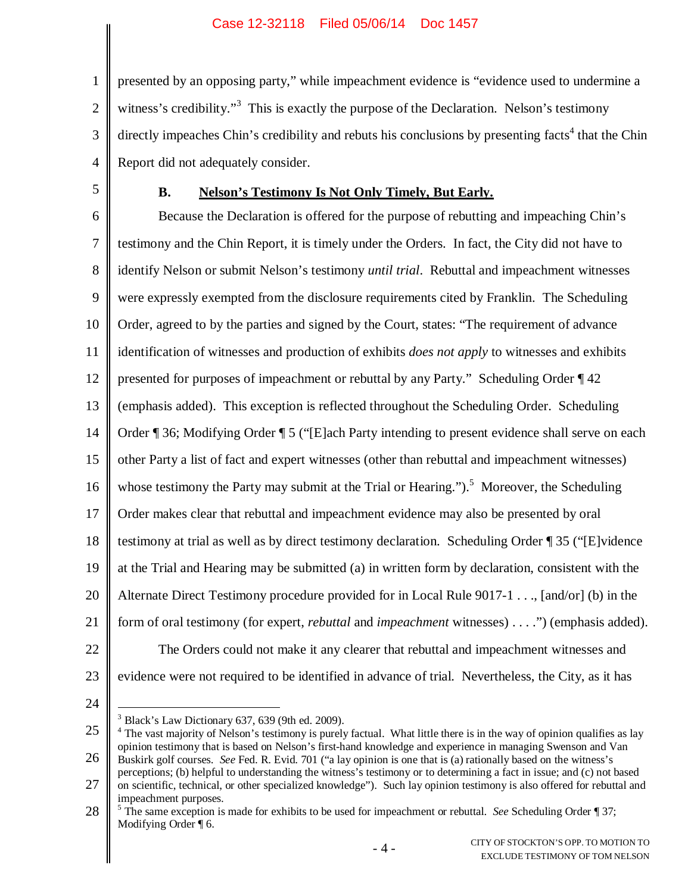1 2 3 4 presented by an opposing party," while impeachment evidence is "evidence used to undermine a witness's credibility."<sup>3</sup> This is exactly the purpose of the Declaration. Nelson's testimony directly impeaches Chin's credibility and rebuts his conclusions by presenting facts<sup>4</sup> that the Chin Report did not adequately consider.

5

## **B. Nelson's Testimony Is Not Only Timely, But Early.**

6 7 8 9 10 11 12 13 14 15 16 17 18 19 20 21 22 23 Because the Declaration is offered for the purpose of rebutting and impeaching Chin's testimony and the Chin Report, it is timely under the Orders. In fact, the City did not have to identify Nelson or submit Nelson's testimony *until trial*. Rebuttal and impeachment witnesses were expressly exempted from the disclosure requirements cited by Franklin. The Scheduling Order, agreed to by the parties and signed by the Court, states: "The requirement of advance identification of witnesses and production of exhibits *does not apply* to witnesses and exhibits presented for purposes of impeachment or rebuttal by any Party." Scheduling Order ¶ 42 (emphasis added). This exception is reflected throughout the Scheduling Order. Scheduling Order ¶ 36; Modifying Order ¶ 5 ("[E]ach Party intending to present evidence shall serve on each other Party a list of fact and expert witnesses (other than rebuttal and impeachment witnesses) whose testimony the Party may submit at the Trial or Hearing.").<sup>5</sup> Moreover, the Scheduling Order makes clear that rebuttal and impeachment evidence may also be presented by oral testimony at trial as well as by direct testimony declaration. Scheduling Order ¶ 35 ("[E]vidence at the Trial and Hearing may be submitted (a) in written form by declaration, consistent with the Alternate Direct Testimony procedure provided for in Local Rule 9017-1 . . ., [and/or] (b) in the form of oral testimony (for expert, *rebuttal* and *impeachment* witnesses) . . . .") (emphasis added). The Orders could not make it any clearer that rebuttal and impeachment witnesses and evidence were not required to be identified in advance of trial. Nevertheless, the City, as it has

24

 $3$  Black's Law Dictionary 637, 639 (9th ed. 2009).

<sup>25</sup> 26 <sup>4</sup> The vast majority of Nelson's testimony is purely factual. What little there is in the way of opinion qualifies as lay opinion testimony that is based on Nelson's first-hand knowledge and experience in managing Swenson and Van Buskirk golf courses. *See* Fed. R. Evid. 701 ("a lay opinion is one that is (a) rationally based on the witness's perceptions; (b) helpful to understanding the witness's testimony or to determining a fact in issue; and (c) not based

<sup>27</sup> on scientific, technical, or other specialized knowledge"). Such lay opinion testimony is also offered for rebuttal and impeachment purposes.

<sup>28</sup> <sup>5</sup> The same exception is made for exhibits to be used for impeachment or rebuttal. *See* Scheduling Order ¶ 37; Modifying Order ¶ 6.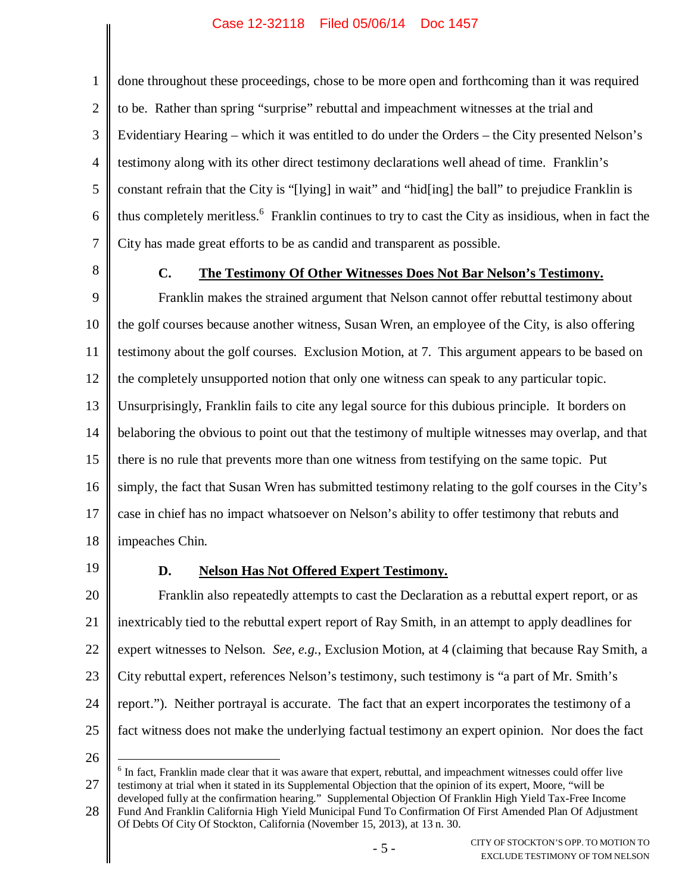#### Case 12-32118 Filed 05/06/14 Doc 1457

2 3 4 5 6 7 done throughout these proceedings, chose to be more open and forthcoming than it was required to be. Rather than spring "surprise" rebuttal and impeachment witnesses at the trial and Evidentiary Hearing – which it was entitled to do under the Orders – the City presented Nelson's testimony along with its other direct testimony declarations well ahead of time. Franklin's constant refrain that the City is "[lying] in wait" and "hid[ing] the ball" to prejudice Franklin is thus completely meritless.<sup>6</sup> Franklin continues to try to cast the City as insidious, when in fact the City has made great efforts to be as candid and transparent as possible.

8

1

### **C. The Testimony Of Other Witnesses Does Not Bar Nelson's Testimony.**

9 10 11 12 13 14 15 16 17 18 Franklin makes the strained argument that Nelson cannot offer rebuttal testimony about the golf courses because another witness, Susan Wren, an employee of the City, is also offering testimony about the golf courses. Exclusion Motion, at 7. This argument appears to be based on the completely unsupported notion that only one witness can speak to any particular topic. Unsurprisingly, Franklin fails to cite any legal source for this dubious principle. It borders on belaboring the obvious to point out that the testimony of multiple witnesses may overlap, and that there is no rule that prevents more than one witness from testifying on the same topic. Put simply, the fact that Susan Wren has submitted testimony relating to the golf courses in the City's case in chief has no impact whatsoever on Nelson's ability to offer testimony that rebuts and impeaches Chin.

19

# **D. Nelson Has Not Offered Expert Testimony.**

20 21 22 23 24 25 Franklin also repeatedly attempts to cast the Declaration as a rebuttal expert report, or as inextricably tied to the rebuttal expert report of Ray Smith, in an attempt to apply deadlines for expert witnesses to Nelson. *See, e.g.*, Exclusion Motion, at 4 (claiming that because Ray Smith, a City rebuttal expert, references Nelson's testimony, such testimony is "a part of Mr. Smith's report."). Neither portrayal is accurate. The fact that an expert incorporates the testimony of a fact witness does not make the underlying factual testimony an expert opinion. Nor does the fact

26

27 <sup>6</sup> In fact, Franklin made clear that it was aware that expert, rebuttal, and impeachment witnesses could offer live testimony at trial when it stated in its Supplemental Objection that the opinion of its expert, Moore, "will be developed fully at the confirmation hearing." Supplemental Objection Of Franklin High Yield Tax-Free Income

28 Fund And Franklin California High Yield Municipal Fund To Confirmation Of First Amended Plan Of Adjustment Of Debts Of City Of Stockton, California (November 15, 2013), at 13 n. 30.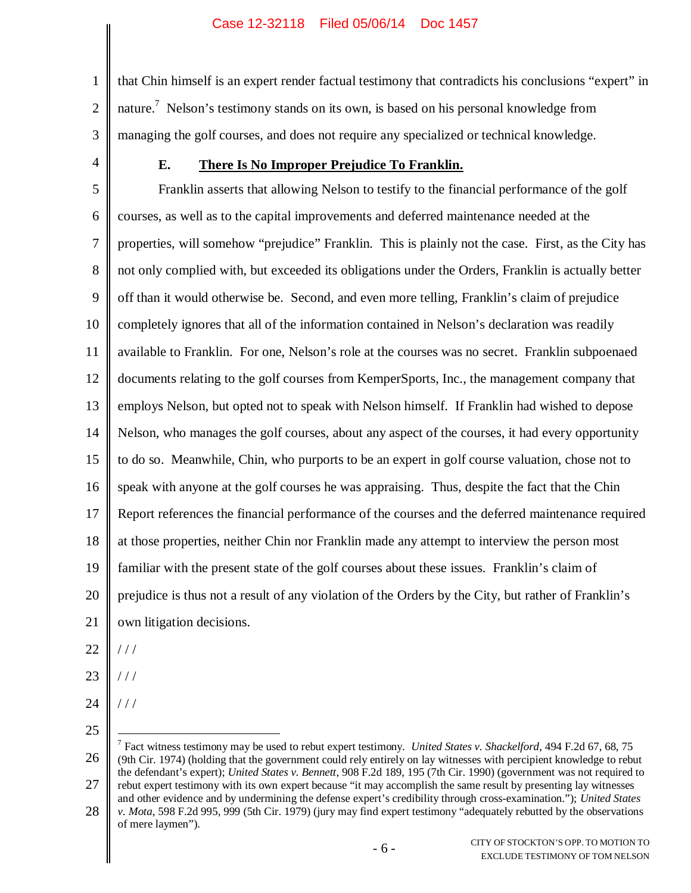1 2 3 that Chin himself is an expert render factual testimony that contradicts his conclusions "expert" in nature.<sup>7</sup> Nelson's testimony stands on its own, is based on his personal knowledge from managing the golf courses, and does not require any specialized or technical knowledge.

4

## **E. There Is No Improper Prejudice To Franklin.**

5 6 7 8 9 10 11 12 13 14 15 16 17 18 19 20 21 Franklin asserts that allowing Nelson to testify to the financial performance of the golf courses, as well as to the capital improvements and deferred maintenance needed at the properties, will somehow "prejudice" Franklin. This is plainly not the case. First, as the City has not only complied with, but exceeded its obligations under the Orders, Franklin is actually better off than it would otherwise be. Second, and even more telling, Franklin's claim of prejudice completely ignores that all of the information contained in Nelson's declaration was readily available to Franklin. For one, Nelson's role at the courses was no secret. Franklin subpoenaed documents relating to the golf courses from KemperSports, Inc., the management company that employs Nelson, but opted not to speak with Nelson himself. If Franklin had wished to depose Nelson, who manages the golf courses, about any aspect of the courses, it had every opportunity to do so. Meanwhile, Chin, who purports to be an expert in golf course valuation, chose not to speak with anyone at the golf courses he was appraising. Thus, despite the fact that the Chin Report references the financial performance of the courses and the deferred maintenance required at those properties, neither Chin nor Franklin made any attempt to interview the person most familiar with the present state of the golf courses about these issues. Franklin's claim of prejudice is thus not a result of any violation of the Orders by the City, but rather of Franklin's own litigation decisions.

- 22  $/ /$
- 23 / / /
- 24  $111$
- 25

<sup>26</sup> 27 7 Fact witness testimony may be used to rebut expert testimony. *United States v. Shackelford*, 494 F.2d 67, 68, 75 (9th Cir. 1974) (holding that the government could rely entirely on lay witnesses with percipient knowledge to rebut the defendant's expert); *United States v. Bennett*, 908 F.2d 189, 195 (7th Cir. 1990) (government was not required to rebut expert testimony with its own expert because "it may accomplish the same result by presenting lay witnesses

<sup>28</sup> and other evidence and by undermining the defense expert's credibility through cross-examination."); *United States v. Mota*, 598 F.2d 995, 999 (5th Cir. 1979) (jury may find expert testimony "adequately rebutted by the observations of mere laymen").